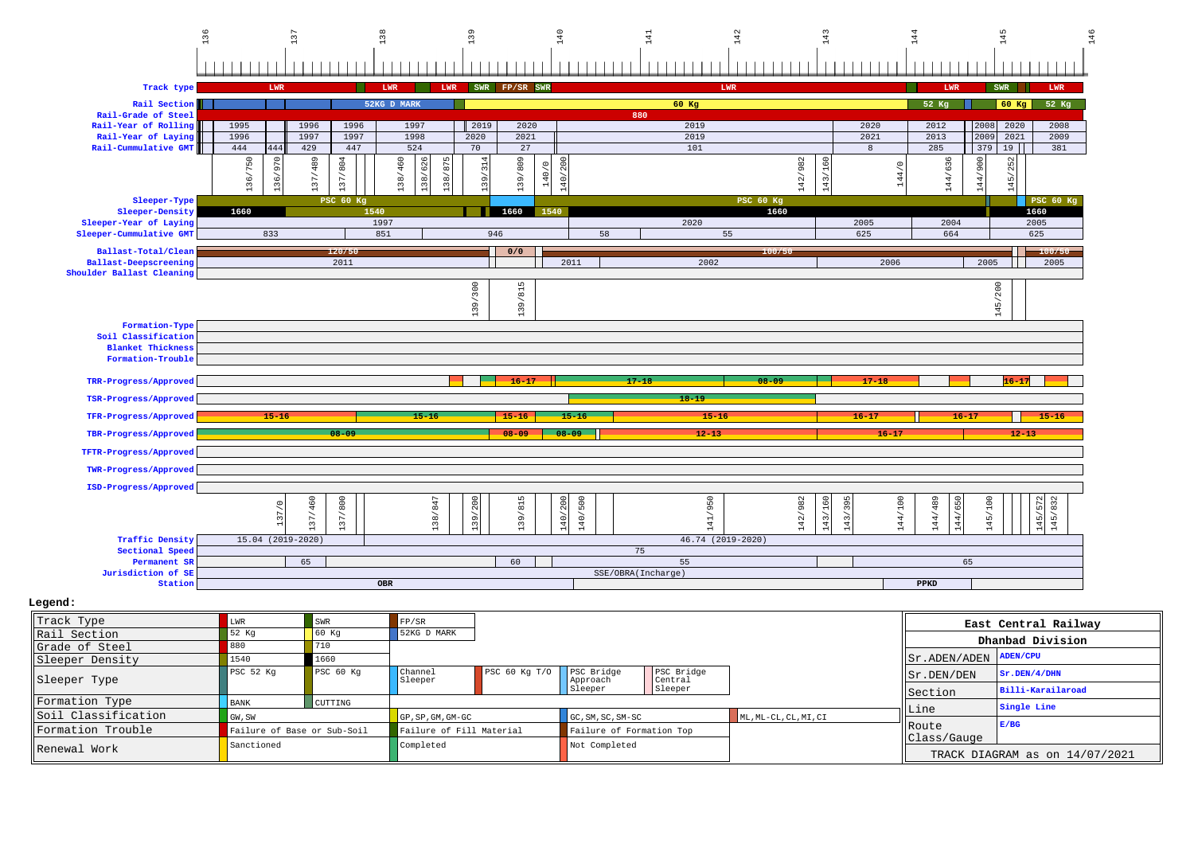

| HATAME OF PPEET     |                             |                |                          |                            |                          |                       |                       |                                 |                                |
|---------------------|-----------------------------|----------------|--------------------------|----------------------------|--------------------------|-----------------------|-----------------------|---------------------------------|--------------------------------|
| Sleeper Density     | 1540                        |                |                          |                            |                          |                       |                       | $  $ Sr. ADEN/ADEN $ $ ADEN/CPU |                                |
| Sleeper Type        | PSC <sub>52</sub> Kq        | PSC 60 Kq      | Channel<br>Sleeper       | PSC 60 Kg T/O   PSC Bridge | Approach                 | PSC Bridge<br>Central |                       | $\left  \sin$ . DEN/DEN         | Sr.DEN/4/DHN                   |
|                     |                             |                |                          | Sleeper                    |                          | Sleeper               |                       | <b>I</b> Section                | Billi-Karailaroad              |
| Formation Type      | BANK                        | <b>CUTTING</b> |                          |                            |                          |                       |                       |                                 | Single Line                    |
| Soil Classification | GW, SW                      |                | $GP$ , SP, GM, GM-GC     |                            | GC, SM, SC, SM-SC        |                       | ML, ML-CL, CL, MI, CI | ⊪Line                           |                                |
| Formation Trouble   | Failure of Base or Sub-Soil |                | Failure of Fill Material |                            | Failure of Formation Top |                       |                       | <b>IRoute</b><br>Class/Gauge    | E/BG                           |
| Renewal Work        | Sanctioned                  |                | Completed                |                            | Not Completed            |                       |                       |                                 | TRACK DIAGRAM as on 14/07/2021 |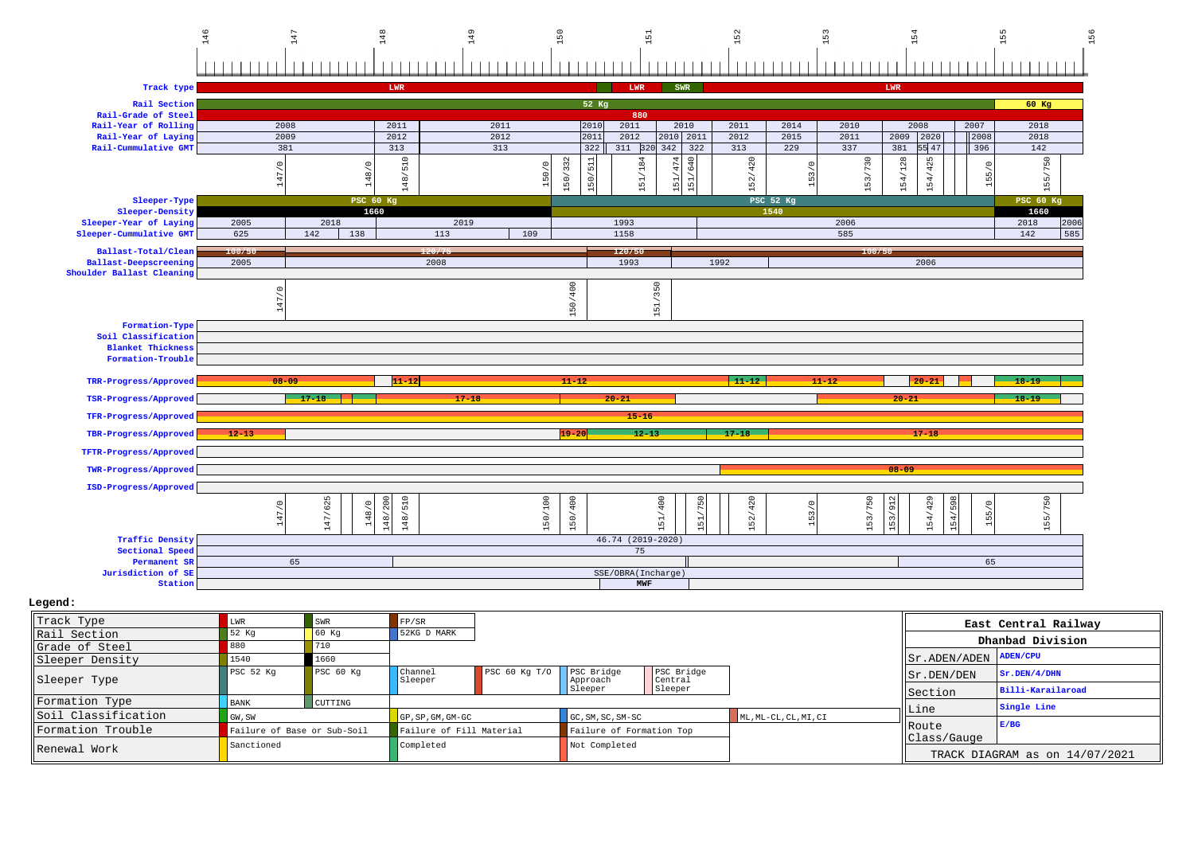

| Track Type           | T.WR                        | SWR                  | FP/SR              |                          |                        |                          |                       |                                                       | East Central Railway           |
|----------------------|-----------------------------|----------------------|--------------------|--------------------------|------------------------|--------------------------|-----------------------|-------------------------------------------------------|--------------------------------|
| Rail Section         | 52 Kg                       |                      | 52KG D MARK        |                          |                        |                          |                       |                                                       | Dhanbad Division               |
| Grade of Steel       |                             |                      |                    |                          |                        |                          |                       |                                                       |                                |
| Sleeper Density      | 1540                        | 1660                 |                    |                          |                        |                          |                       | $ \text{Sr.ADEN}/\text{ADEN} \text{ADEN}/\text{CPU} $ |                                |
| Sleeper Type         | PSC 52 Kg                   | PSC <sub>60 Kq</sub> | Channel<br>Sleeper | PSC $60$ Kq $T/O$        | PSC Bridge<br>Approach | PSC Bridge<br>Central    |                       | $  $ Sr.DEN/DEN                                       | ST.DEN/4/DHN                   |
|                      |                             |                      |                    |                          | Sleeper                | Sleeper                  |                       | Section                                               | Billi-Karailaroad              |
| Formation Type       | <b>BANK</b>                 | CUTTING              |                    |                          |                        |                          |                       |                                                       | Single Line                    |
| Soil Classification  | GW, SW                      |                      | GP, SP, GM, GM-GC  |                          | GC, SM, SC, SM-SC      |                          | ML, ML-CL, CL, MI, CI | Line                                                  |                                |
| Formation Trouble    | Failure of Base or Sub-Soil |                      |                    | Failure of Fill Material |                        | Failure of Formation Top |                       | Route<br>Class/Gauge                                  | E/BG                           |
| <b>IRenewal Work</b> | Sanctioned                  |                      | Completed          |                          | Not Completed          |                          |                       |                                                       | TRACK DIAGRAM as on 14/07/2021 |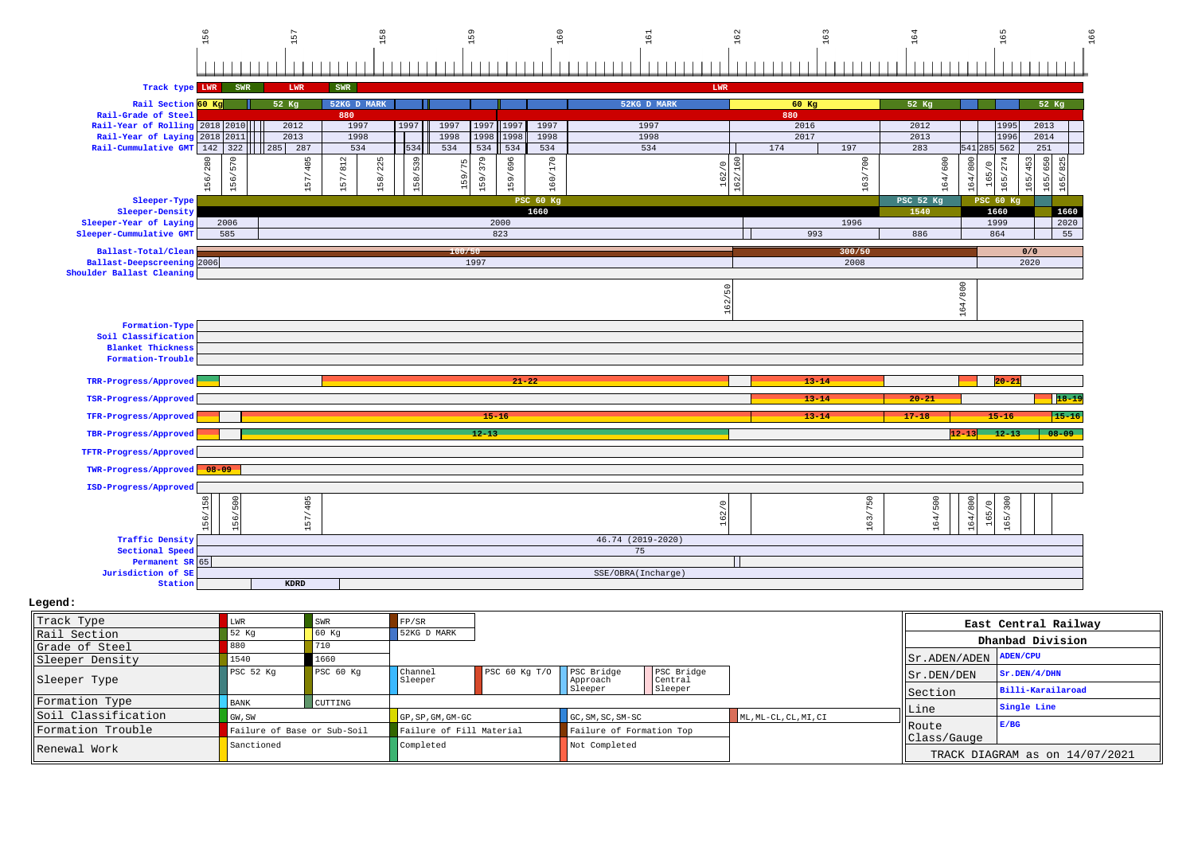

## **Legend:**

| Track Type          | LWR                         | SWR                | FP/SR                    |                   |                          |                       |                       |                       | East Central Railway           |
|---------------------|-----------------------------|--------------------|--------------------------|-------------------|--------------------------|-----------------------|-----------------------|-----------------------|--------------------------------|
| Rail Section        | 52 Kg                       | $\overline{60}$ Kq | 52KG D MARK              |                   |                          |                       |                       |                       |                                |
| Grade of Steel      |                             | 710                |                          |                   |                          |                       |                       |                       | Dhanbad Division               |
| Sleeper Density     | 1540                        | 1660               |                          |                   |                          |                       |                       | Sr.ADEN/ADEN ADEN/CPU |                                |
| Sleeper Type        | PSC <sub>52</sub> Kq        | PSC 60 Kg          | Channel<br>Sleeper       | PSC $60$ Kq $T/O$ | PSC Bridge<br>Approach   | PSC Bridge<br>Central |                       | llsr.DEN/DEN          | ST.DEN/4/DHN                   |
|                     |                             |                    |                          |                   | Sleeper                  | Sleeper               |                       | Section               | Billi-Karailaroad              |
| Formation Type      | <b>BANK</b>                 | CUTTING            |                          |                   |                          |                       |                       |                       | Single Line                    |
| Soil Classification | GW, SW                      |                    | GP, SP, GM, GM-GC        |                   | GC, SM, SC, SM-SC        |                       | ML, ML-CL, CL, MI, CI | ∥Line                 |                                |
| Formation Trouble   | Failure of Base or Sub-Soil |                    | Failure of Fill Material |                   | Failure of Formation Top |                       |                       | <b>Noute</b>          | E/BG                           |
| Renewal Work        | Sanctioned                  |                    | Completed                |                   | Not Completed            |                       |                       | Class/Gauge           | TRACK DIAGRAM as on 14/07/2021 |